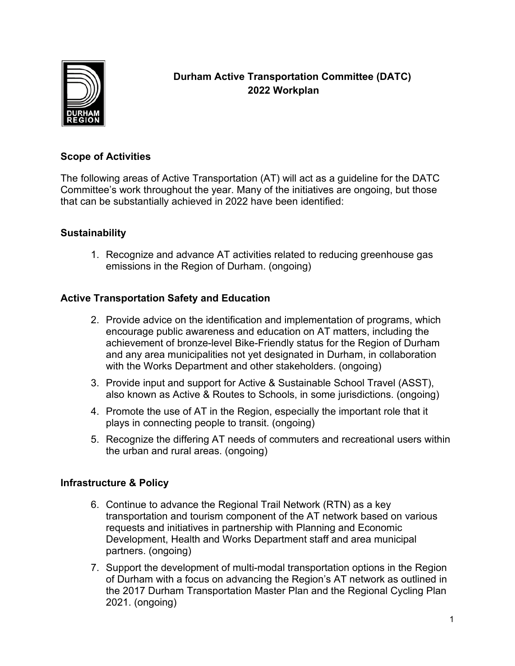

# **Durham Active Transportation Committee (DATC) 2022 Workplan**

#### **Scope of Activities**

The following areas of Active Transportation (AT) will act as a guideline for the DATC Committee's work throughout the year. Many of the initiatives are ongoing, but those that can be substantially achieved in 2022 have been identified:

## **Sustainability**

1. Recognize and advance AT activities related to reducing greenhouse gas emissions in the Region of Durham. (ongoing)

## **Active Transportation Safety and Education**

- 2. Provide advice on the identification and implementation of programs, which encourage public awareness and education on AT matters, including the achievement of bronze-level Bike-Friendly status for the Region of Durham and any area municipalities not yet designated in Durham, in collaboration with the Works Department and other stakeholders. (ongoing)
- 3. Provide input and support for Active & Sustainable School Travel (ASST), also known as Active & Routes to Schools, in some jurisdictions. (ongoing)
- 4. Promote the use of AT in the Region, especially the important role that it plays in connecting people to transit. (ongoing)
- 5. Recognize the differing AT needs of commuters and recreational users within the urban and rural areas. (ongoing)

## **Infrastructure & Policy**

- 6. Continue to advance the Regional Trail Network (RTN) as a key transportation and tourism component of the AT network based on various requests and initiatives in partnership with Planning and Economic Development, Health and Works Department staff and area municipal partners. (ongoing)
- 7. Support the development of multi-modal transportation options in the Region of Durham with a focus on advancing the Region's AT network as outlined in the 2017 Durham Transportation Master Plan and the Regional Cycling Plan 2021. (ongoing)